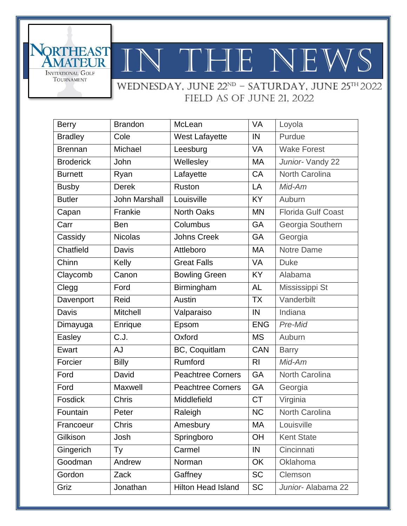

WEDNESDAY, JUNE 22<sup>ND</sup> - SATURDAY, JUNE 25<sup>TH</sup> 2022 field as of June 21, 2022

| <b>Berry</b>     | <b>Brandon</b>       | McLean                    | <b>VA</b>      | Loyola                    |
|------------------|----------------------|---------------------------|----------------|---------------------------|
| <b>Bradley</b>   | Cole                 | <b>West Lafayette</b>     | IN             | Purdue                    |
| <b>Brennan</b>   | Michael              | Leesburg                  | VA             | <b>Wake Forest</b>        |
| <b>Broderick</b> | John                 | Wellesley                 | <b>MA</b>      | Junior-Vandy 22           |
| <b>Burnett</b>   | Ryan                 | Lafayette                 | CA             | North Carolina            |
| <b>Busby</b>     | <b>Derek</b>         | Ruston                    | LA             | Mid-Am                    |
| <b>Butler</b>    | <b>John Marshall</b> | Louisville                | <b>KY</b>      | Auburn                    |
| Capan            | Frankie              | <b>North Oaks</b>         | <b>MN</b>      | <b>Florida Gulf Coast</b> |
| Carr             | <b>Ben</b>           | Columbus                  | GA             | Georgia Southern          |
| Cassidy          | <b>Nicolas</b>       | <b>Johns Creek</b>        | GA             | Georgia                   |
| Chatfield        | Davis                | Attleboro                 | MA             | <b>Notre Dame</b>         |
| Chinn            | Kelly                | <b>Great Falls</b>        | <b>VA</b>      | <b>Duke</b>               |
| Claycomb         | Canon                | <b>Bowling Green</b>      | <b>KY</b>      | Alabama                   |
| Clegg            | Ford                 | Birmingham                | <b>AL</b>      | Mississippi St            |
| Davenport        | Reid                 | Austin                    | <b>TX</b>      | Vanderbilt                |
| <b>Davis</b>     | <b>Mitchell</b>      | Valparaiso                | IN             | Indiana                   |
| Dimayuga         | Enrique              | Epsom                     | <b>ENG</b>     | Pre-Mid                   |
| Easley           | C.J.                 | Oxford                    | <b>MS</b>      | Auburn                    |
| Ewart            | <b>AJ</b>            | BC, Coquitlam             | <b>CAN</b>     | <b>Barry</b>              |
| Forcier          | <b>Billy</b>         | Rumford                   | R <sub>l</sub> | Mid-Am                    |
| Ford             | David                | <b>Peachtree Corners</b>  | GA             | North Carolina            |
| Ford             | Maxwell              | <b>Peachtree Corners</b>  | GA             | Georgia                   |
| Fosdick          | Chris                | Middlefield               | <b>CT</b>      | Virginia                  |
| Fountain         | Peter                | Raleigh                   | <b>NC</b>      | <b>North Carolina</b>     |
| Francoeur        | Chris                | Amesbury                  | МA             | Louisville                |
| Gilkison         | Josh                 | Springboro                | OH             | <b>Kent State</b>         |
| Gingerich        | Ty                   | Carmel                    | $\sf IN$       | Cincinnati                |
| Goodman          | Andrew               | Norman                    | OK             | Oklahoma                  |
| Gordon           | Zack                 | Gaffney                   | <b>SC</b>      | Clemson                   |
| Griz             | Jonathan             | <b>Hilton Head Island</b> | <b>SC</b>      | Junior- Alabama 22        |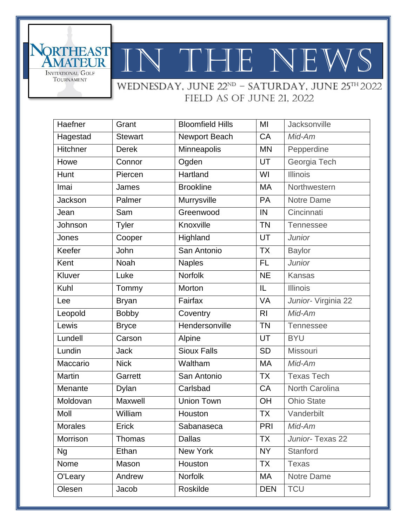

**SORTHEAST**<br>AMATEUR

INVITATIONAL GOLF TOURNAMENT

WEDNESDAY, JUNE 22<sup>ND</sup> - SATURDAY, JUNE 25<sup>TH</sup> 2022 field as of June 21, 2022

| Haefner        | Grant          | <b>Bloomfield Hills</b> | MI             | Jacksonville        |
|----------------|----------------|-------------------------|----------------|---------------------|
| Hagestad       | <b>Stewart</b> | Newport Beach           | CA             | Mid-Am              |
| Hitchner       | <b>Derek</b>   | Minneapolis             | <b>MN</b>      | Pepperdine          |
| Howe           | Connor         | Ogden                   | UT             | Georgia Tech        |
| Hunt           | Piercen        | Hartland                | WI             | <b>Illinois</b>     |
| Imai           | James          | <b>Brookline</b>        | <b>MA</b>      | Northwestern        |
| Jackson        | Palmer         | Murrysville             | PA             | Notre Dame          |
| Jean           | Sam            | Greenwood               | IN             | Cincinnati          |
| Johnson        | <b>Tyler</b>   | Knoxville               | <b>TN</b>      | Tennessee           |
| Jones          | Cooper         | Highland                | UT             | <b>Junior</b>       |
| Keefer         | John           | San Antonio             | <b>TX</b>      | <b>Baylor</b>       |
| Kent           | <b>Noah</b>    | <b>Naples</b>           | <b>FL</b>      | Junior              |
| Kluver         | Luke           | <b>Norfolk</b>          | <b>NE</b>      | <b>Kansas</b>       |
| Kuhl           | Tommy          | Morton                  | IL             | <b>Illinois</b>     |
| Lee            | <b>Bryan</b>   | Fairfax                 | <b>VA</b>      | Junior- Virginia 22 |
| Leopold        | <b>Bobby</b>   | Coventry                | R <sub>l</sub> | Mid-Am              |
| Lewis          | <b>Bryce</b>   | Hendersonville          | <b>TN</b>      | <b>Tennessee</b>    |
| Lundell        | Carson         | Alpine                  | UT             | <b>BYU</b>          |
| Lundin         | <b>Jack</b>    | <b>Sioux Falls</b>      | <b>SD</b>      | Missouri            |
| Maccario       | <b>Nick</b>    | Waltham                 | <b>MA</b>      | Mid-Am              |
| Martin         | Garrett        | San Antonio             | <b>TX</b>      | <b>Texas Tech</b>   |
| Menante        | Dylan          | Carlsbad                | CA             | North Carolina      |
| Moldovan       | Maxwell        | <b>Union Town</b>       | OH             | <b>Ohio State</b>   |
| Moll           | William        | Houston                 | <b>TX</b>      | Vanderbilt          |
| <b>Morales</b> | Erick          | Sabanaseca              | <b>PRI</b>     | Mid-Am              |
| Morrison       | Thomas         | <b>Dallas</b>           | <b>TX</b>      | Junior-Texas 22     |
| <b>Ng</b>      | Ethan          | New York                | <b>NY</b>      | Stanford            |
| Nome           | Mason          | Houston                 | <b>TX</b>      | <b>Texas</b>        |
| O'Leary        | Andrew         | Norfolk                 | MA             | Notre Dame          |
| Olesen         | Jacob          | Roskilde                | <b>DEN</b>     | <b>TCU</b>          |